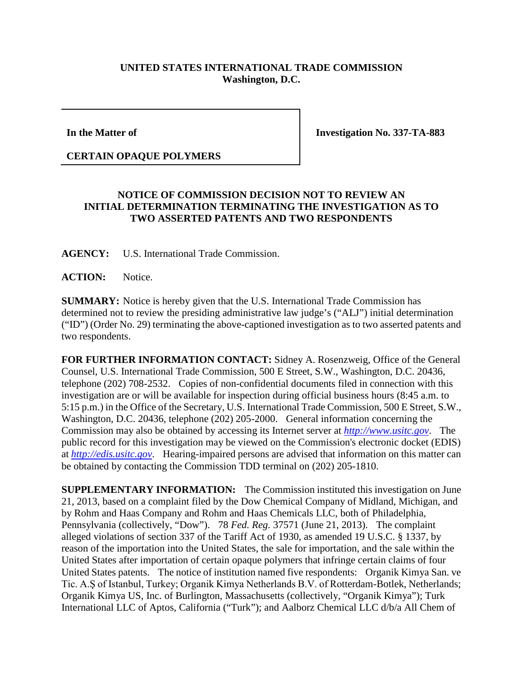## **UNITED STATES INTERNATIONAL TRADE COMMISSION Washington, D.C.**

**In the Matter of**

**Investigation No. 337-TA-883**

## **CERTAIN OPAQUE POLYMERS**

## **NOTICE OF COMMISSION DECISION NOT TO REVIEW AN INITIAL DETERMINATION TERMINATING THE INVESTIGATION AS TO TWO ASSERTED PATENTS AND TWO RESPONDENTS**

**AGENCY:** U.S. International Trade Commission.

**ACTION:** Notice.

**SUMMARY:** Notice is hereby given that the U.S. International Trade Commission has determined not to review the presiding administrative law judge's ("ALJ") initial determination ("ID") (Order No. 29) terminating the above-captioned investigation as to two asserted patents and two respondents.

**FOR FURTHER INFORMATION CONTACT:** Sidney A. Rosenzweig, Office of the General Counsel, U.S. International Trade Commission, 500 E Street, S.W., Washington, D.C. 20436, telephone (202) 708-2532. Copies of non-confidential documents filed in connection with this investigation are or will be available for inspection during official business hours (8:45 a.m. to 5:15 p.m.) in the Office of the Secretary, U.S. International Trade Commission, 500 E Street, S.W., Washington, D.C. 20436, telephone (202) 205-2000. General information concerning the Commission may also be obtained by accessing its Internet server at *[http://www.usitc.gov](http://www.usitc.gov/)*. The public record for this investigation may be viewed on the Commission's electronic docket (EDIS) at *[http://edis.usitc.gov](http://edis.usitc.gov/)*. Hearing-impaired persons are advised that information on this matter can be obtained by contacting the Commission TDD terminal on (202) 205-1810.

**SUPPLEMENTARY INFORMATION:** The Commission instituted this investigation on June 21, 2013, based on a complaint filed by the Dow Chemical Company of Midland, Michigan, and by Rohm and Haas Company and Rohm and Haas Chemicals LLC, both of Philadelphia, Pennsylvania (collectively, "Dow"). 78 *Fed. Reg.* 37571 (June 21, 2013). The complaint alleged violations of section 337 of the Tariff Act of 1930, as amended 19 U.S.C. § 1337, by reason of the importation into the United States, the sale for importation, and the sale within the United States after importation of certain opaque polymers that infringe certain claims of four United States patents. The notice of institution named five respondents: Organik Kimya San. ve Tic. A.Ş of Istanbul, Turkey; Organik Kimya Netherlands B.V. of Rotterdam-Botlek, Netherlands; Organik Kimya US, Inc. of Burlington, Massachusetts (collectively, "Organik Kimya"); Turk International LLC of Aptos, California ("Turk"); and Aalborz Chemical LLC d/b/a All Chem of